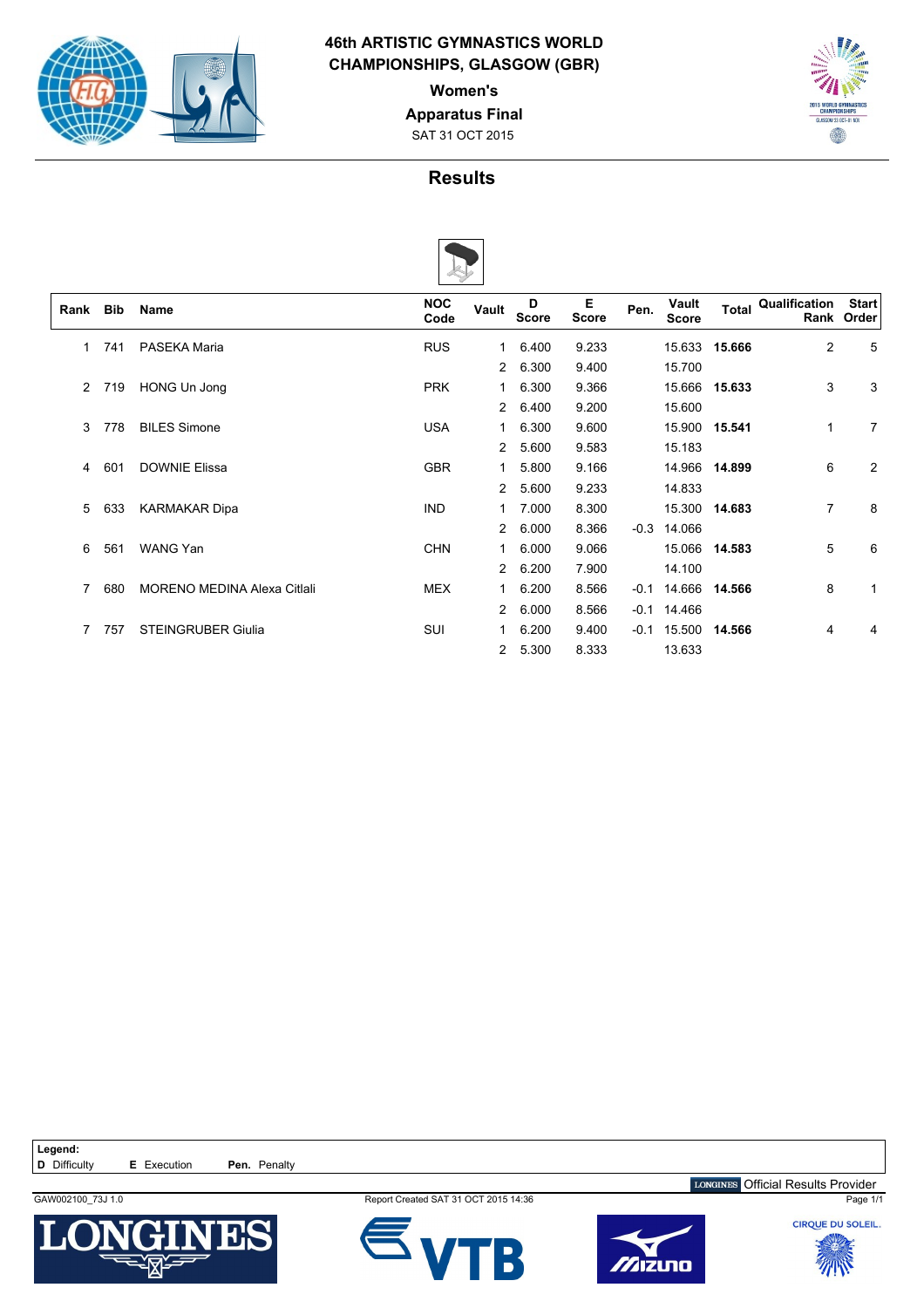

### **46th ARTISTIC GYMNASTICS WORLD CHAMPIONSHIPS, GLASGOW (GBR)**

**Women's**

**Apparatus Final**

SAT 31 OCT 2015



# **Results**



|      |            |                                    | v                  |                |                   |                   |        |                       |               |                |                            |
|------|------------|------------------------------------|--------------------|----------------|-------------------|-------------------|--------|-----------------------|---------------|----------------|----------------------------|
| Rank | <b>Bib</b> | <b>Name</b>                        | <b>NOC</b><br>Code | Vault          | D<br><b>Score</b> | Е<br><b>Score</b> | Pen.   | Vault<br><b>Score</b> | <b>Total</b>  | Qualification  | <b>Start</b><br>Rank Order |
| 1    | 741        | PASEKA Maria                       | <b>RUS</b>         | 1              | 6.400             | 9.233             |        |                       | 15.633 15.666 | $\overline{2}$ | 5                          |
|      |            |                                    |                    | $\overline{2}$ | 6.300             | 9.400             |        | 15.700                |               |                |                            |
| 2    | 719        | HONG Un Jong                       | <b>PRK</b>         |                | 6.300             | 9.366             |        |                       | 15.666 15.633 | 3              | 3                          |
|      |            |                                    |                    | 2              | 6.400             | 9.200             |        | 15.600                |               |                |                            |
| 3    | 778        | <b>BILES Simone</b>                | <b>USA</b>         |                | 6.300             | 9.600             |        |                       | 15.900 15.541 | 1              | 7                          |
|      |            |                                    |                    | 2              | 5.600             | 9.583             |        | 15.183                |               |                |                            |
| 4    | 601        | <b>DOWNIE Elissa</b>               | <b>GBR</b>         |                | 5.800             | 9.166             |        |                       | 14.966 14.899 | 6              | 2                          |
|      |            |                                    |                    | 2              | 5.600             | 9.233             |        | 14.833                |               |                |                            |
| 5    | 633        | <b>KARMAKAR Dipa</b>               | <b>IND</b>         | 1              | 7.000             | 8.300             |        |                       | 15.300 14.683 | $\overline{7}$ | 8                          |
|      |            |                                    |                    | 2              | 6.000             | 8.366             | $-0.3$ | 14.066                |               |                |                            |
| 6    | 561        | <b>WANG Yan</b>                    | <b>CHN</b>         |                | 6.000             | 9.066             |        |                       | 15.066 14.583 | 5              | 6                          |
|      |            |                                    |                    | $\overline{2}$ | 6.200             | 7.900             |        | 14.100                |               |                |                            |
| 7    | 680        | <b>MORENO MEDINA Alexa Citlali</b> | <b>MEX</b>         |                | 6.200             | 8.566             | $-0.1$ | 14.666                | 14.566        | 8              | 1                          |
|      |            |                                    |                    | $\overline{2}$ | 6.000             | 8.566             | $-0.1$ | 14.466                |               |                |                            |
|      | 757        | <b>STEINGRUBER Giulia</b>          | SUI                |                | 6.200             | 9.400             | $-0.1$ | 15.500                | 14.566        | 4              | 4                          |
|      |            |                                    |                    | $\overline{2}$ | 5.300             | 8.333             |        | 13.633                |               |                |                            |

Legend:<br>**D** Difficulty **E** Execution **Pen.** Penalty



GAW002100\_73J 1.0 **Report Created SAT 31 OCT 2015 14:36** Page 1/1





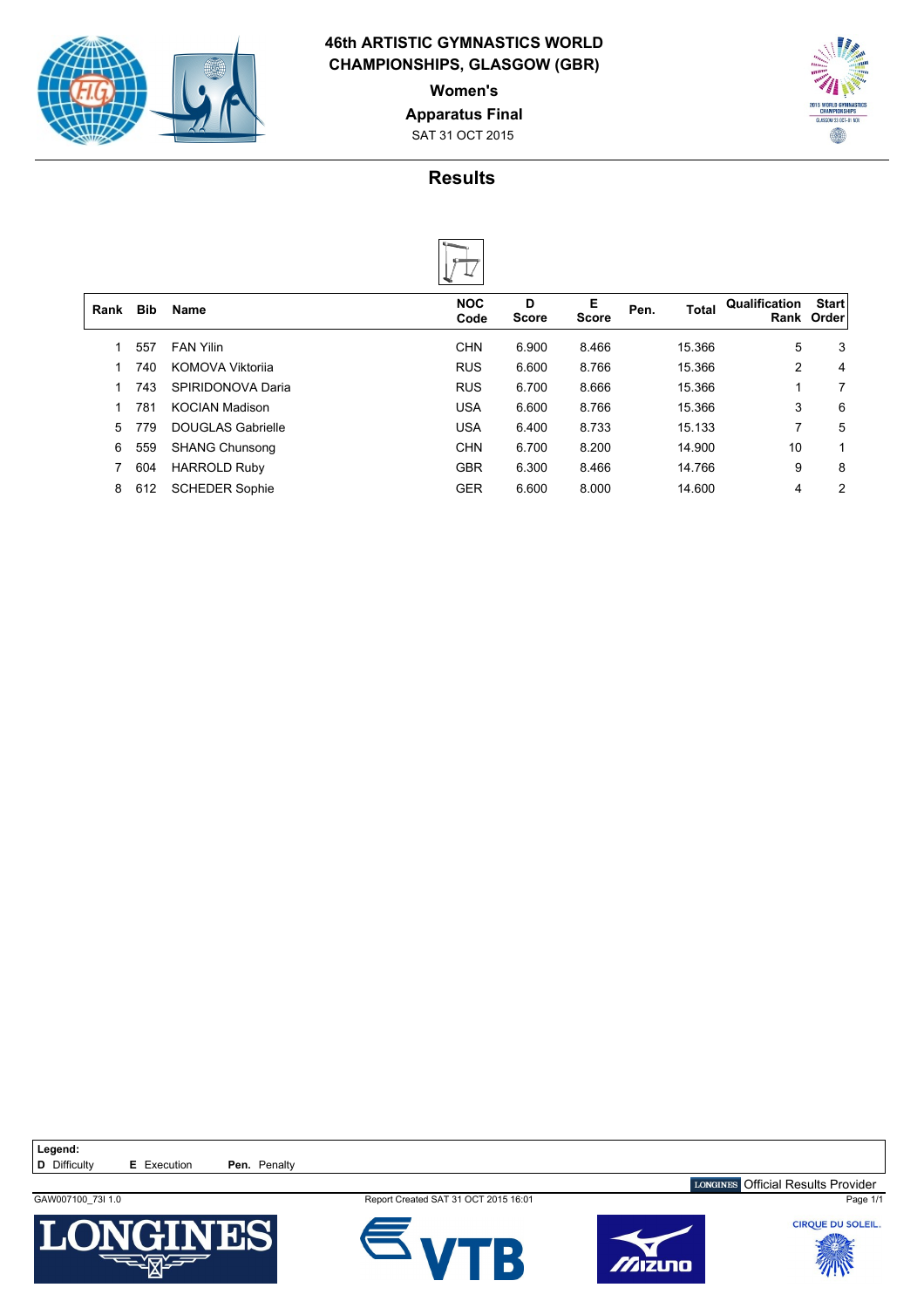

### **46th ARTISTIC GYMNASTICS WORLD CHAMPIONSHIPS, GLASGOW (GBR)**

**Women's**

**Apparatus Final**

SAT 31 OCT 2015



# **Results**

| Rank | <b>Bib</b> | Name                     | <b>NOC</b><br>Code | D<br><b>Score</b> | Е<br>Score | Pen. | <b>Total</b> | Qualification | <b>Start</b><br>Rank Order |
|------|------------|--------------------------|--------------------|-------------------|------------|------|--------------|---------------|----------------------------|
|      | 557        | <b>FAN Yilin</b>         | <b>CHN</b>         | 6.900             | 8.466      |      | 15.366       | 5             | 3                          |
|      | 740        | KOMOVA Viktorija         | <b>RUS</b>         | 6.600             | 8.766      |      | 15.366       | 2             | 4                          |
|      | 743        | SPIRIDONOVA Daria        | <b>RUS</b>         | 6.700             | 8.666      |      | 15.366       | 1             | 7                          |
|      | 781        | <b>KOCIAN Madison</b>    | <b>USA</b>         | 6.600             | 8.766      |      | 15.366       | 3             | 6                          |
| 5    | 779        | <b>DOUGLAS Gabrielle</b> | <b>USA</b>         | 6.400             | 8.733      |      | 15.133       | 7             | 5                          |
| 6    | 559        | <b>SHANG Chunsong</b>    | <b>CHN</b>         | 6.700             | 8.200      |      | 14.900       | 10            |                            |
|      | 604        | <b>HARROLD Ruby</b>      | <b>GBR</b>         | 6.300             | 8.466      |      | 14.766       | 9             | 8                          |
| 8    | 612        | <b>SCHEDER Sophie</b>    | <b>GER</b>         | 6.600             | 8.000      |      | 14.600       | 4             | 2                          |
|      |            |                          |                    |                   |            |      |              |               |                            |

Legend:<br>**D** Difficulty



**E** Execution **Pen.** Penalty

GAW007100\_73I 1.0 **Report Created SAT 31 OCT 2015 16:01 Report Created SAT 31 OCT 2015 16:01 Page 1/1** 





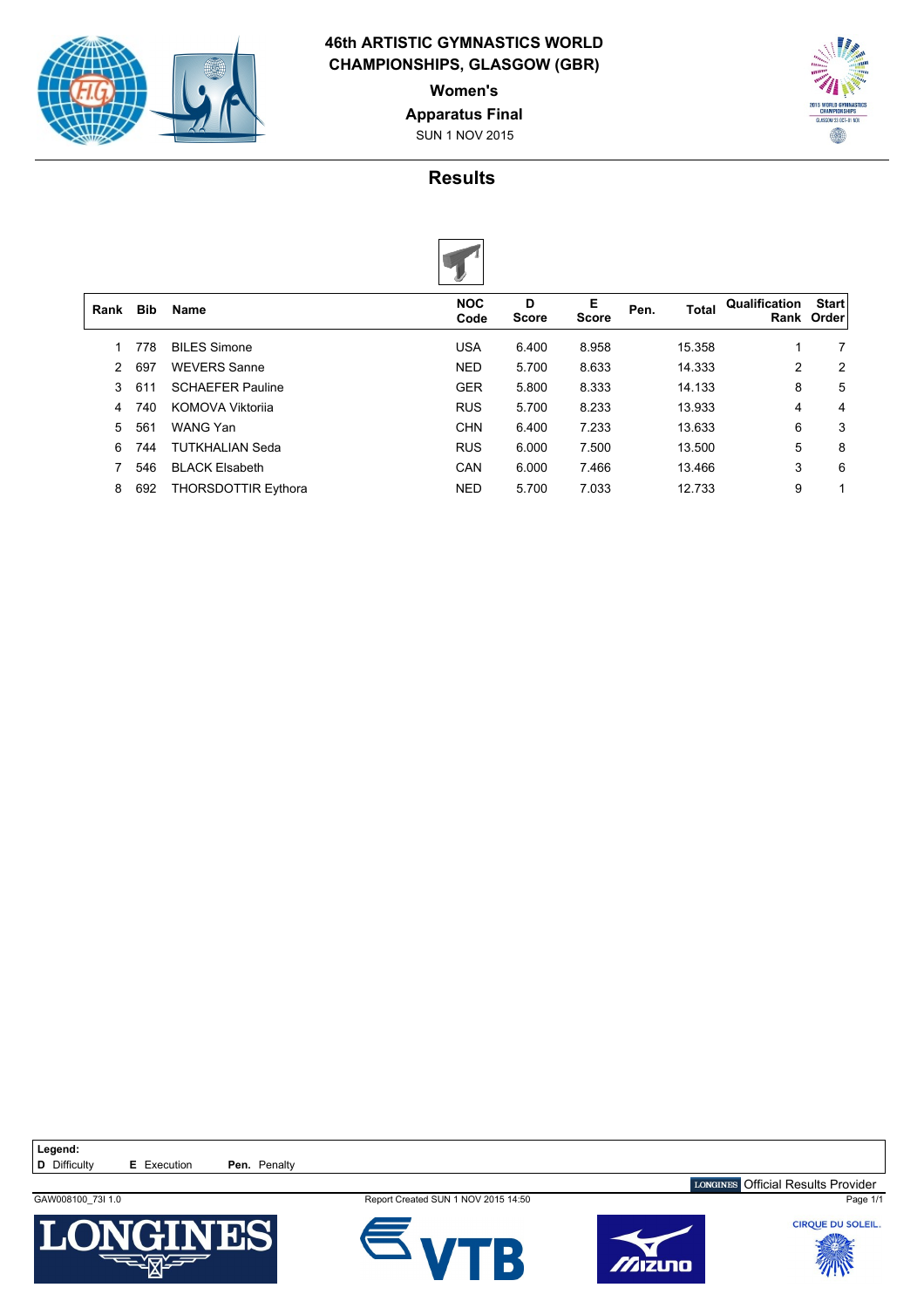

 $\overline{1}$ 

### **46th ARTISTIC GYMNASTICS WORLD CHAMPIONSHIPS, GLASGOW (GBR)**

**Women's**

**Apparatus Final**

SUN 1 NOV 2015



# **Results**



| Rank          | Bib | <b>Name</b>                | <b>NOC</b><br>Code | D<br><b>Score</b> | E<br><b>Score</b> | Pen. | <b>Total</b> | Qualification | <b>Start</b><br>Rank Order |
|---------------|-----|----------------------------|--------------------|-------------------|-------------------|------|--------------|---------------|----------------------------|
|               | 778 | <b>BILES Simone</b>        | <b>USA</b>         | 6.400             | 8.958             |      | 15.358       | 1             | 7                          |
| $\mathcal{P}$ | 697 | <b>WEVERS Sanne</b>        | <b>NED</b>         | 5.700             | 8.633             |      | 14.333       | 2             | 2                          |
| 3             | 611 | <b>SCHAEFER Pauline</b>    | <b>GER</b>         | 5.800             | 8.333             |      | 14.133       | 8             | 5                          |
| 4             | 740 | <b>KOMOVA Viktorija</b>    | <b>RUS</b>         | 5.700             | 8.233             |      | 13.933       | 4             | 4                          |
| 5             | 561 | WANG Yan                   | <b>CHN</b>         | 6.400             | 7.233             |      | 13.633       | 6             | 3                          |
| 6             | 744 | <b>TUTKHALIAN Seda</b>     | <b>RUS</b>         | 6.000             | 7.500             |      | 13.500       | 5             | 8                          |
|               | 546 | <b>BLACK Elsabeth</b>      | <b>CAN</b>         | 6.000             | 7.466             |      | 13.466       | 3             | 6                          |
| 8             | 692 | <b>THORSDOTTIR Eythora</b> | <b>NED</b>         | 5.700             | 7.033             |      | 12.733       | 9             |                            |
|               |     |                            |                    |                   |                   |      |              |               |                            |

Legend:<br>**D** Difficulty **E** Execution **Pen.** Penalty

13

GAW008100\_73I 1.0 **Report Created SUN 1 NOV 2015 14:50 Report Created SUN 1 NOV 2015 14:50 Page 1/1**